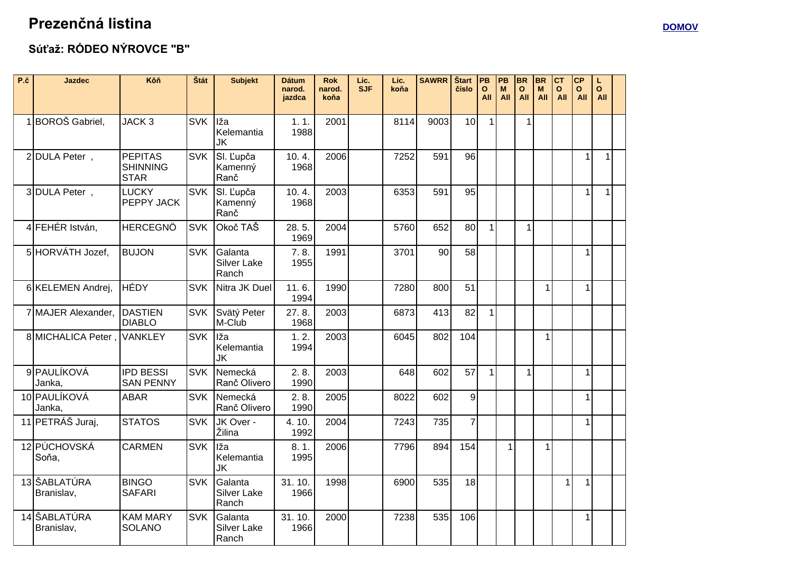## Prezenčná listina

## Súťaž: RÓDEO NÝROVCE "B"

| P.č | <b>Jazdec</b>                | Kôň                                              | Štát       | <b>Subjekt</b>                         | <b>Dátum</b><br>narod.<br>jazdca | <b>Rok</b><br>narod.<br>koňa | Lic.<br><b>SJF</b> | Lic.<br>koňa | <b>SAWRR</b> | Štart<br>číslo | PB<br>$\Omega$<br>All | PB<br>M<br>All | <b>BR</b><br>$\mathbf{o}$<br>All | <b>BR</b><br>M<br>All | Іст<br>O<br>All | <b>CP</b><br>$\mathbf{o}$<br>All | L<br>$\mathbf{o}$<br>All |  |
|-----|------------------------------|--------------------------------------------------|------------|----------------------------------------|----------------------------------|------------------------------|--------------------|--------------|--------------|----------------|-----------------------|----------------|----------------------------------|-----------------------|-----------------|----------------------------------|--------------------------|--|
|     | <b>BOROŠ</b> Gabriel,        | JACK <sub>3</sub>                                | <b>SVK</b> | Iža<br>Kelemantia<br>JK                | 1.1.<br>1988                     | 2001                         |                    | 8114         | 9003         | 10             | $\mathbf{1}$          |                | 1                                |                       |                 |                                  |                          |  |
|     | 2 DULA Peter,                | <b>PEPITAS</b><br><b>SHINNING</b><br><b>STAR</b> | <b>SVK</b> | SI. Ľupča<br>Kamenný<br>Ranč           | 10.4.<br>1968                    | 2006                         |                    | 7252         | 591          | 96             |                       |                |                                  |                       |                 | $\mathbf{1}$                     | 1                        |  |
|     | 3 DULA Peter,                | <b>LUCKY</b><br>PEPPY JACK                       | <b>SVK</b> | SI. Ľupča<br>Kamenný<br>Ranč           | 10.4.<br>1968                    | 2003                         |                    | 6353         | 591          | 95             |                       |                |                                  |                       |                 | $\mathbf{1}$                     | $\mathbf{1}$             |  |
|     | 4 FEHÉR István,              | <b>HERCEGNÖ</b>                                  | <b>SVK</b> | Okoč TAŠ                               | 28.5.<br>1969                    | 2004                         |                    | 5760         | 652          | 80             | $\mathbf{1}$          |                | 1                                |                       |                 |                                  |                          |  |
|     | 5 HORVÁTH Jozef,             | <b>BUJON</b>                                     | <b>SVK</b> | Galanta<br><b>Silver Lake</b><br>Ranch | 7.8.<br>1955                     | 1991                         |                    | 3701         | 90           | 58             |                       |                |                                  |                       |                 | $\mathbf{1}$                     |                          |  |
|     | 6 KELEMEN Andrej,            | HÉDY                                             | <b>SVK</b> | Nitra JK Duel                          | 11.6.<br>1994                    | 1990                         |                    | 7280         | 800          | 51             |                       |                |                                  | $\mathbf{1}$          |                 | $\mathbf{1}$                     |                          |  |
|     | 7 MAJER Alexander,           | DASTIEN<br><b>DIABLO</b>                         | <b>SVK</b> | Svätý Peter<br>M-Club                  | 27.8.<br>1968                    | 2003                         |                    | 6873         | 413          | 82             | 1 <sup>1</sup>        |                |                                  |                       |                 |                                  |                          |  |
|     | 8 MICHALICA Peter            | <b>VANKLEY</b>                                   | <b>SVK</b> | Iža<br>Kelemantia<br><b>JK</b>         | 1.2.<br>1994                     | 2003                         |                    | 6045         | 802          | 104            |                       |                |                                  | $\mathbf{1}$          |                 |                                  |                          |  |
|     | <b>9 PAULÍKOVÁ</b><br>Janka, | <b>IPD BESSI</b><br><b>SAN PENNY</b>             | <b>SVK</b> | <b>Nemecká</b><br>Ranč Olivero         | 2.8.<br>1990                     | 2003                         |                    | 648          | 602          | 57             | $\mathbf{1}$          |                | $\mathbf{1}$                     |                       |                 | $\mathbf{1}$                     |                          |  |
|     | 10 PAULÍKOVÁ<br>Janka,       | <b>ABAR</b>                                      | <b>SVK</b> | Nemecká<br>Ranč Olivero                | 2.8.<br>1990                     | 2005                         |                    | 8022         | 602          | 9              |                       |                |                                  |                       |                 | $\mathbf{1}$                     |                          |  |
|     | 11 PETRÁŠ Juraj,             | <b>STATOS</b>                                    | <b>SVK</b> | JK Over -<br>Žilina                    | 4.10.<br>1992                    | 2004                         |                    | 7243         | 735          | $\overline{7}$ |                       |                |                                  |                       |                 | $\mathbf{1}$                     |                          |  |
|     | 12 PÚCHOVSKÁ<br>Soňa,        | <b>CARMEN</b>                                    | <b>SVK</b> | Iža<br>Kelemantia<br><b>JK</b>         | 8.1.<br>1995                     | 2006                         |                    | 7796         | 894          | 154            |                       | 1              |                                  | $\mathbf{1}$          |                 |                                  |                          |  |
|     | 13 ŠABLATÚRA<br>Branislav,   | <b>BINGO</b><br><b>SAFARI</b>                    | <b>SVK</b> | Galanta<br><b>Silver Lake</b><br>Ranch | 31.10.<br>1966                   | 1998                         |                    | 6900         | 535          | 18             |                       |                |                                  |                       | $\mathbf 1$     | $\mathbf{1}$                     |                          |  |
|     | 14 ŠABLATÚRA<br>Branislav,   | <b>KAM MARY</b><br><b>SOLANO</b>                 | <b>SVK</b> | Galanta<br><b>Silver Lake</b><br>Ranch | 31.10.<br>1966                   | 2000                         |                    | 7238         | 535          | 106            |                       |                |                                  |                       |                 | $\mathbf{1}$                     |                          |  |